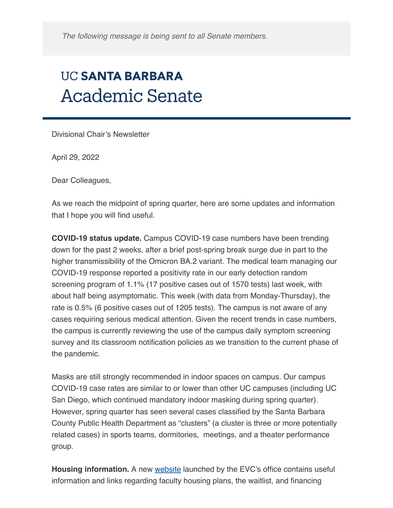*The following message is being sent to all Senate members.*

## **UC SANTA BARBARA Academic Senate**

Divisional Chair's Newsletter

April 29, 2022

Dear Colleagues,

As we reach the midpoint of spring quarter, here are some updates and information that I hope you will find useful.

**COVID-19 status update.** Campus COVID-19 case numbers have been trending down for the past 2 weeks, after a brief post-spring break surge due in part to the higher transmissibility of the Omicron BA.2 variant. The medical team managing our COVID-19 response reported a positivity rate in our early detection random screening program of 1.1% (17 positive cases out of 1570 tests) last week, with about half being asymptomatic. This week (with data from Monday-Thursday), the rate is 0.5% (6 positive cases out of 1205 tests). The campus is not aware of any cases requiring serious medical attention. Given the recent trends in case numbers, the campus is currently reviewing the use of the campus daily symptom screening survey and its classroom notification policies as we transition to the current phase of the pandemic.

Masks are still strongly recommended in indoor spaces on campus. Our campus COVID-19 case rates are similar to or lower than other UC campuses (including UC San Diego, which continued mandatory indoor masking during spring quarter). However, spring quarter has seen several cases classified by the Santa Barbara County Public Health Department as "clusters" (a cluster is three or more potentially related cases) in sports teams, dormitories, meetings, and a theater performance group.

**Housing information.** A new [website](https://evc.ucsb.edu/faculty-housing) launched by the EVC's office contains useful information and links regarding faculty housing plans, the waitlist, and financing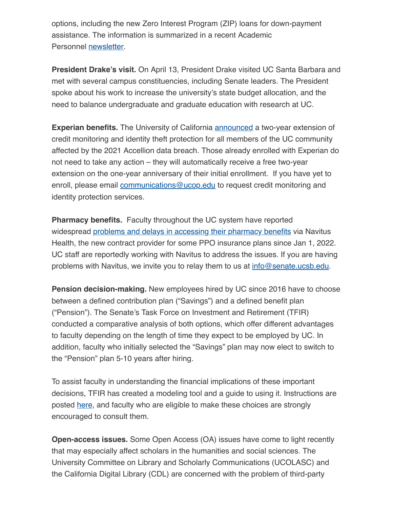options, including the new Zero Interest Program (ZIP) loans for down-payment assistance. The information is summarized in a recent Academic Personnel [newsletter](https://ap.ucsb.edu/news.and.announcements/memos/?4.29.2022.Spring./.Summer.2022.Academic.Personnel.Newsletter).

**President Drake's visit.** On April 13, President Drake visited UC Santa Barbara and met with several campus constituencies, including Senate leaders. The President spoke about his work to increase the university's state budget allocation, and the need to balance undergraduate and graduate education with research at UC.

**Experian benefits.** The University of California **[announced](https://ucnet.universityofcalifornia.edu/news/2022/03/uc-extends-credit-monitoring-and-identity-theft-protection-for-uc-members-affected-by-2021-accellion-incident.html#:~:text=UC%20is%20now%20extending%20the,anniversary%20of%20their%20initial%20enrollment.)** a two-year extension of credit monitoring and identity theft protection for all members of the UC community affected by the 2021 Accellion data breach. Those already enrolled with Experian do not need to take any action – they will automatically receive a free two-year extension on the one-year anniversary of their initial enrollment. If you have yet to enroll, please email [communications@ucop.edu](mailto:communications@ucop.edu) to request credit monitoring and identity protection services.

**Pharmacy benefits.** Faculty throughout the UC system have reported widespread [problems and delays in accessing their pharmacy benefits](https://ucnet.universityofcalifornia.edu/news/2022/03/an-important-message-about-pharmacy-benefits-through-navitus-health.html) via Navitus Health, the new contract provider for some PPO insurance plans since Jan 1, 2022. UC staff are reportedly working with Navitus to address the issues. If you are having problems with Navitus, we invite you to relay them to us at [info@senate.ucsb.edu.](mailto:info@senate.ucsb.edu)

**Pension decision-making.** New employees hired by UC since 2016 have to choose between a defined contribution plan ("Savings") and a defined benefit plan ("Pension"). The Senate's Task Force on Investment and Retirement (TFIR) conducted a comparative analysis of both options, which offer different advantages to faculty depending on the length of time they expect to be employed by UC. In addition, faculty who initially selected the "Savings" plan may now elect to switch to the "Pension" plan 5-10 years after hiring.

To assist faculty in understanding the financial implications of these important decisions, TFIR has created a modeling tool and a guide to using it. Instructions are posted [here,](https://senate.universityofcalifornia.edu/resources/retirement-choice-model.html) and faculty who are eligible to make these choices are strongly encouraged to consult them.

**Open-access issues.** Some Open Access (OA) issues have come to light recently that may especially affect scholars in the humanities and social sciences. The University Committee on Library and Scholarly Communications (UCOLASC) and the California Digital Library (CDL) are concerned with the problem of third-party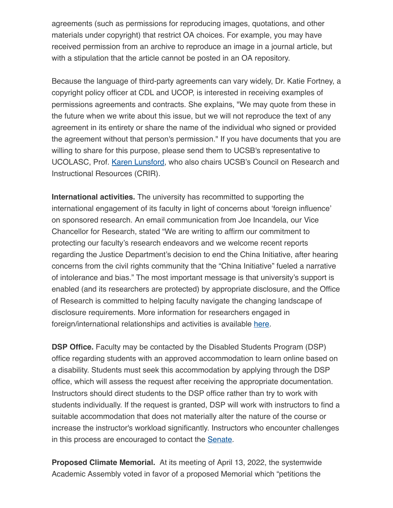agreements (such as permissions for reproducing images, quotations, and other materials under copyright) that restrict OA choices. For example, you may have received permission from an archive to reproduce an image in a journal article, but with a stipulation that the article cannot be posted in an OA repository.

Because the language of third-party agreements can vary widely, Dr. Katie Fortney, a copyright policy officer at CDL and UCOP, is interested in receiving examples of permissions agreements and contracts. She explains, "We may quote from these in the future when we write about this issue, but we will not reproduce the text of any agreement in its entirety or share the name of the individual who signed or provided the agreement without that person's permission." If you have documents that you are willing to share for this purpose, please send them to UCSB's representative to UCOLASC, Prof. [Karen Lunsford](mailto:klunsford@writing.ucsb.edu), who also chairs UCSB's Council on Research and Instructional Resources (CRIR).

**International activities.** The university has recommitted to supporting the international engagement of its faculty in light of concerns about 'foreign influence' on sponsored research. An email communication from Joe Incandela, our Vice Chancellor for Research, stated "We are writing to affirm our commitment to protecting our faculty's research endeavors and we welcome recent reports regarding the Justice Department's decision to end the China Initiative, after hearing concerns from the civil rights community that the "China Initiative" fueled a narrative of intolerance and bias." The most important message is that university's support is enabled (and its researchers are protected) by appropriate disclosure, and the Office of Research is committed to helping faculty navigate the changing landscape of disclosure requirements. More information for researchers engaged in foreign/international relationships and activities is available [here.](https://www.research.ucsb.edu/research-integrity/international-engagement)

**DSP Office.** Faculty may be contacted by the Disabled Students Program (DSP) office regarding students with an approved accommodation to learn online based on a disability. Students must seek this accommodation by applying through the DSP office, which will assess the request after receiving the appropriate documentation. Instructors should direct students to the DSP office rather than try to work with students individually. If the request is granted, DSP will work with instructors to find a suitable accommodation that does not materially alter the nature of the course or increase the instructor's workload significantly. Instructors who encounter challenges in this process are encouraged to contact the **[Senate](mailto:info@senate.ucsb.edu)**.

**Proposed Climate Memorial.** At its meeting of April 13, 2022, the systemwide Academic Assembly voted in favor of a proposed Memorial which "petitions the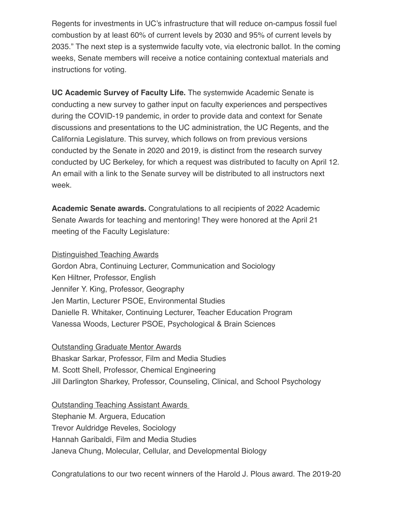Regents for investments in UC's infrastructure that will reduce on-campus fossil fuel combustion by at least 60% of current levels by 2030 and 95% of current levels by 2035." The next step is a systemwide faculty vote, via electronic ballot. In the coming weeks, Senate members will receive a notice containing contextual materials and instructions for voting.

**UC Academic Survey of Faculty Life.** The systemwide Academic Senate is conducting a new survey to gather input on faculty experiences and perspectives during the COVID-19 pandemic, in order to provide data and context for Senate discussions and presentations to the UC administration, the UC Regents, and the California Legislature. This survey, which follows on from previous versions conducted by the Senate in 2020 and 2019, is distinct from the research survey conducted by UC Berkeley, for which a request was distributed to faculty on April 12. An email with a link to the Senate survey will be distributed to all instructors next week.

**Academic Senate awards.** Congratulations to all recipients of 2022 Academic Senate Awards for teaching and mentoring! They were honored at the April 21 meeting of the Faculty Legislature:

Distinguished Teaching Awards

Gordon Abra, Continuing Lecturer, Communication and Sociology Ken Hiltner, Professor, English Jennifer Y. King, Professor, Geography Jen Martin, Lecturer PSOE, Environmental Studies Danielle R. Whitaker, Continuing Lecturer, Teacher Education Program Vanessa Woods, Lecturer PSOE, Psychological & Brain Sciences

Outstanding Graduate Mentor Awards

Bhaskar Sarkar, Professor, Film and Media Studies M. Scott Shell, Professor, Chemical Engineering Jill Darlington Sharkey, Professor, Counseling, Clinical, and School Psychology

Outstanding Teaching Assistant Awards Stephanie M. Arguera, Education Trevor Auldridge Reveles, Sociology Hannah Garibaldi, Film and Media Studies Janeva Chung, Molecular, Cellular, and Developmental Biology

Congratulations to our two recent winners of the Harold J. Plous award. The 2019-20